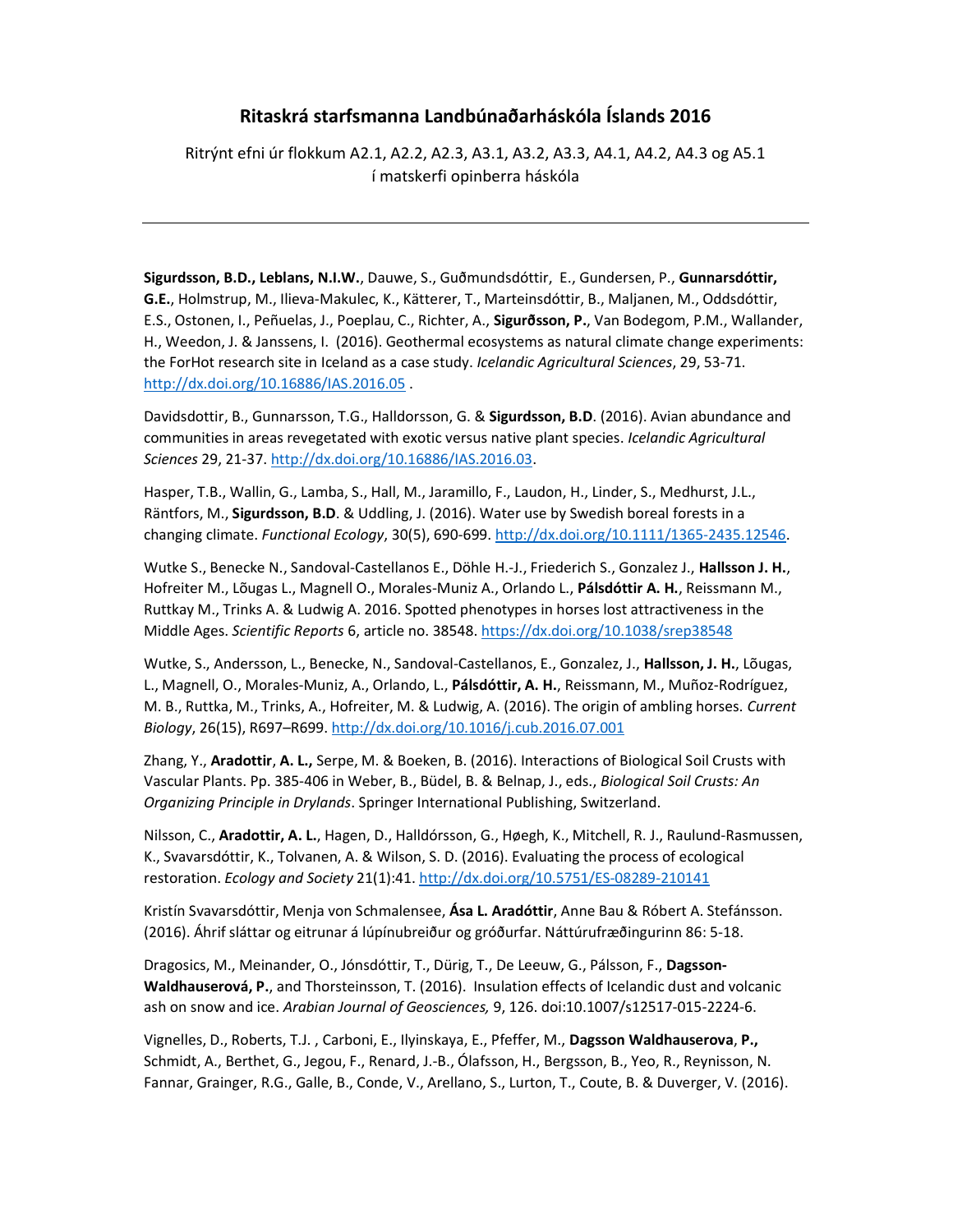## Ritaskrá starfsmanna Landbúnaðarháskóla Íslands 2016

Ritrýnt efni úr flokkum A2.1, A2.2, A2.3, A3.1, A3.2, A3.3, A4.1, A4.2, A4.3 og A5.1 í matskerfi opinberra háskóla

Sigurdsson, B.D., Leblans, N.I.W., Dauwe, S., Guðmundsdóttir, E., Gundersen, P., Gunnarsdóttir, G.E., Holmstrup, M., Ilieva-Makulec, K., Kätterer, T., Marteinsdóttir, B., Maljanen, M., Oddsdóttir, E.S., Ostonen, I., Peñuelas, J., Poeplau, C., Richter, A., Sigurðsson, P., Van Bodegom, P.M., Wallander, H., Weedon, J. & Janssens, I. (2016). Geothermal ecosystems as natural climate change experiments: the ForHot research site in Iceland as a case study. Icelandic Agricultural Sciences, 29, 53-71. http://dx.doi.org/10.16886/IAS.2016.05 .

Davidsdottir, B., Gunnarsson, T.G., Halldorsson, G. & Sigurdsson, B.D. (2016). Avian abundance and communities in areas revegetated with exotic versus native plant species. Icelandic Agricultural Sciences 29, 21-37. http://dx.doi.org/10.16886/IAS.2016.03.

Hasper, T.B., Wallin, G., Lamba, S., Hall, M., Jaramillo, F., Laudon, H., Linder, S., Medhurst, J.L., Räntfors, M., Sigurdsson, B.D. & Uddling, J. (2016). Water use by Swedish boreal forests in a changing climate. Functional Ecology, 30(5), 690-699. http://dx.doi.org/10.1111/1365-2435.12546.

Wutke S., Benecke N., Sandoval-Castellanos E., Döhle H.-J., Friederich S., Gonzalez J., Hallsson J. H., Hofreiter M., Lõugas L., Magnell O., Morales-Muniz A., Orlando L., Pálsdóttir A. H., Reissmann M., Ruttkay M., Trinks A. & Ludwig A. 2016. Spotted phenotypes in horses lost attractiveness in the Middle Ages. Scientific Reports 6, article no. 38548. https://dx.doi.org/10.1038/srep38548

Wutke, S., Andersson, L., Benecke, N., Sandoval-Castellanos, E., Gonzalez, J., Hallsson, J. H., Lõugas, L., Magnell, O., Morales-Muniz, A., Orlando, L., Pálsdóttir, A. H., Reissmann, M., Muñoz-Rodríguez, M. B., Ruttka, M., Trinks, A., Hofreiter, M. & Ludwig, A. (2016). The origin of ambling horses. Current Biology, 26(15), R697–R699. http://dx.doi.org/10.1016/j.cub.2016.07.001

Zhang, Y., Aradottir, A. L., Serpe, M. & Boeken, B. (2016). Interactions of Biological Soil Crusts with Vascular Plants. Pp. 385-406 in Weber, B., Büdel, B. & Belnap, J., eds., Biological Soil Crusts: An Organizing Principle in Drylands. Springer International Publishing, Switzerland.

Nilsson, C., Aradottir, A. L., Hagen, D., Halldórsson, G., Høegh, K., Mitchell, R. J., Raulund-Rasmussen, K., Svavarsdóttir, K., Tolvanen, A. & Wilson, S. D. (2016). Evaluating the process of ecological restoration. Ecology and Society 21(1):41. http://dx.doi.org/10.5751/ES-08289-210141

Kristín Svavarsdóttir, Menja von Schmalensee, Ása L. Aradóttir, Anne Bau & Róbert A. Stefánsson. (2016). Áhrif sláttar og eitrunar á lúpínubreiður og gróðurfar. Náttúrufræðingurinn 86: 5-18.

Dragosics, M., Meinander, O., Jónsdóttir, T., Dürig, T., De Leeuw, G., Pálsson, F., Dagsson-Waldhauserová, P., and Thorsteinsson, T. (2016). Insulation effects of Icelandic dust and volcanic ash on snow and ice. Arabian Journal of Geosciences, 9, 126. doi:10.1007/s12517-015-2224-6.

Vignelles, D., Roberts, T.J. , Carboni, E., Ilyinskaya, E., Pfeffer, M., Dagsson Waldhauserova, P., Schmidt, A., Berthet, G., Jegou, F., Renard, J.-B., Ólafsson, H., Bergsson, B., Yeo, R., Reynisson, N. Fannar, Grainger, R.G., Galle, B., Conde, V., Arellano, S., Lurton, T., Coute, B. & Duverger, V. (2016).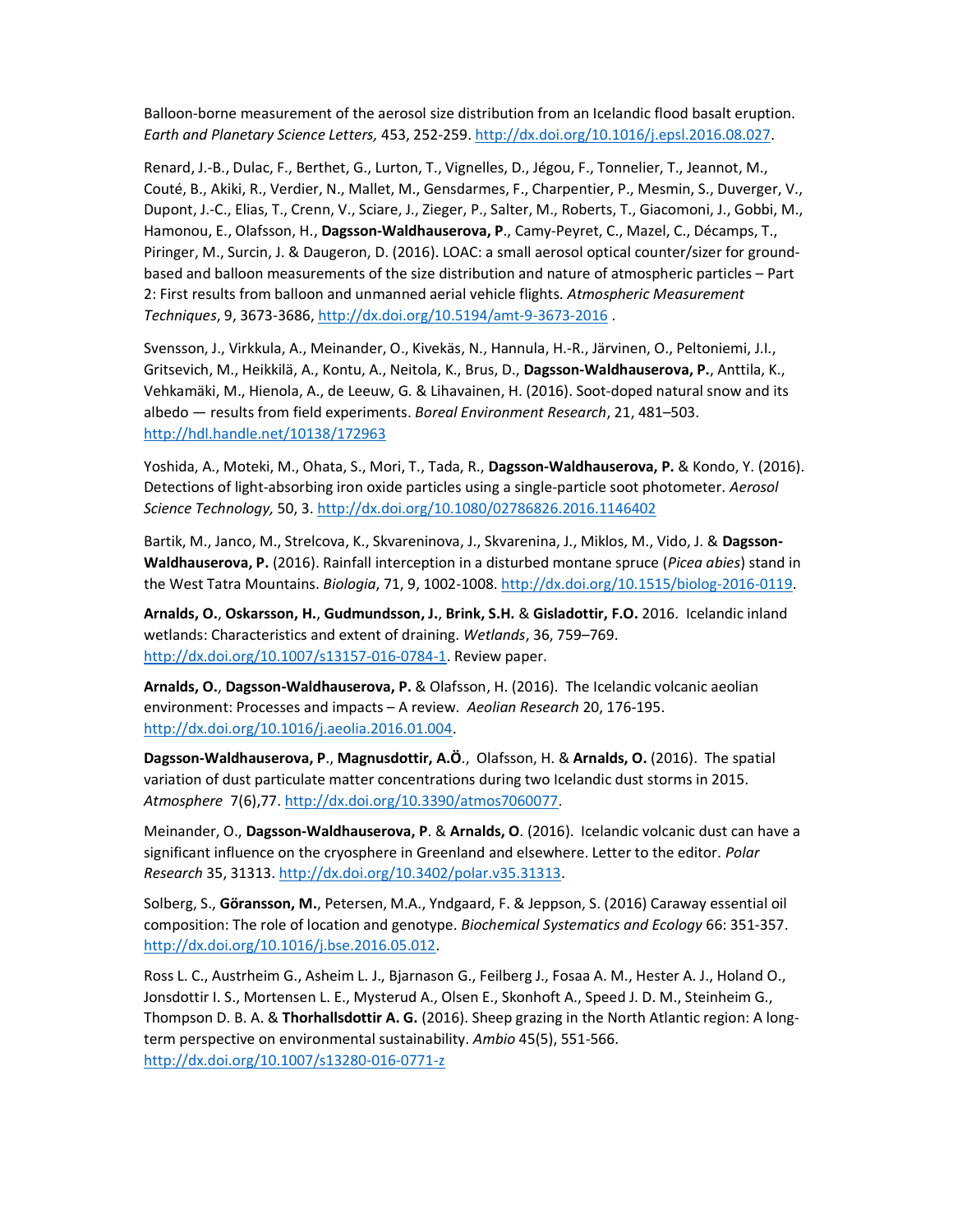Balloon-borne measurement of the aerosol size distribution from an Icelandic flood basalt eruption. Earth and Planetary Science Letters, 453, 252-259. http://dx.doi.org/10.1016/j.epsl.2016.08.027.

Renard, J.-B., Dulac, F., Berthet, G., Lurton, T., Vignelles, D., Jégou, F., Tonnelier, T., Jeannot, M., Couté, B., Akiki, R., Verdier, N., Mallet, M., Gensdarmes, F., Charpentier, P., Mesmin, S., Duverger, V., Dupont, J.-C., Elias, T., Crenn, V., Sciare, J., Zieger, P., Salter, M., Roberts, T., Giacomoni, J., Gobbi, M., Hamonou, E., Olafsson, H., Dagsson-Waldhauserova, P., Camy-Peyret, C., Mazel, C., Décamps, T., Piringer, M., Surcin, J. & Daugeron, D. (2016). LOAC: a small aerosol optical counter/sizer for groundbased and balloon measurements of the size distribution and nature of atmospheric particles – Part 2: First results from balloon and unmanned aerial vehicle flights. Atmospheric Measurement Techniques, 9, 3673-3686, http://dx.doi.org/10.5194/amt-9-3673-2016 .

Svensson, J., Virkkula, A., Meinander, O., Kivekäs, N., Hannula, H.-R., Järvinen, O., Peltoniemi, J.I., Gritsevich, M., Heikkilä, A., Kontu, A., Neitola, K., Brus, D., Dagsson-Waldhauserova, P., Anttila, K., Vehkamäki, M., Hienola, A., de Leeuw, G. & Lihavainen, H. (2016). Soot-doped natural snow and its albedo — results from field experiments. Boreal Environment Research, 21, 481–503. http://hdl.handle.net/10138/172963

Yoshida, A., Moteki, M., Ohata, S., Mori, T., Tada, R., Dagsson-Waldhauserova, P. & Kondo, Y. (2016). Detections of light-absorbing iron oxide particles using a single-particle soot photometer. Aerosol Science Technology, 50, 3. http://dx.doi.org/10.1080/02786826.2016.1146402

Bartik, M., Janco, M., Strelcova, K., Skvareninova, J., Skvarenina, J., Miklos, M., Vido, J. & Dagsson-Waldhauserova, P. (2016). Rainfall interception in a disturbed montane spruce (Picea abies) stand in the West Tatra Mountains. Biologia, 71, 9, 1002-1008. http://dx.doi.org/10.1515/biolog-2016-0119.

Arnalds, O., Oskarsson, H., Gudmundsson, J., Brink, S.H. & Gisladottir, F.O. 2016. Icelandic inland wetlands: Characteristics and extent of draining. Wetlands, 36, 759–769. http://dx.doi.org/10.1007/s13157-016-0784-1. Review paper.

Arnalds, O., Dagsson-Waldhauserova, P. & Olafsson, H. (2016). The Icelandic volcanic aeolian environment: Processes and impacts – A review. Aeolian Research 20, 176-195. http://dx.doi.org/10.1016/j.aeolia.2016.01.004.

Dagsson-Waldhauserova, P., Magnusdottir, A.Ö., Olafsson, H. & Arnalds, O. (2016). The spatial variation of dust particulate matter concentrations during two Icelandic dust storms in 2015. Atmosphere 7(6),77. http://dx.doi.org/10.3390/atmos7060077.

Meinander, O., Dagsson-Waldhauserova, P. & Arnalds, O. (2016). Icelandic volcanic dust can have a significant influence on the cryosphere in Greenland and elsewhere. Letter to the editor. Polar Research 35, 31313. http://dx.doi.org/10.3402/polar.v35.31313.

Solberg, S., Göransson, M., Petersen, M.A., Yndgaard, F. & Jeppson, S. (2016) Caraway essential oil composition: The role of location and genotype. Biochemical Systematics and Ecology 66: 351-357. http://dx.doi.org/10.1016/j.bse.2016.05.012.

Ross L. C., Austrheim G., Asheim L. J., Bjarnason G., Feilberg J., Fosaa A. M., Hester A. J., Holand O., Jonsdottir I. S., Mortensen L. E., Mysterud A., Olsen E., Skonhoft A., Speed J. D. M., Steinheim G., Thompson D. B. A. & Thorhallsdottir A. G. (2016). Sheep grazing in the North Atlantic region: A longterm perspective on environmental sustainability. Ambio 45(5), 551-566. http://dx.doi.org/10.1007/s13280-016-0771-z